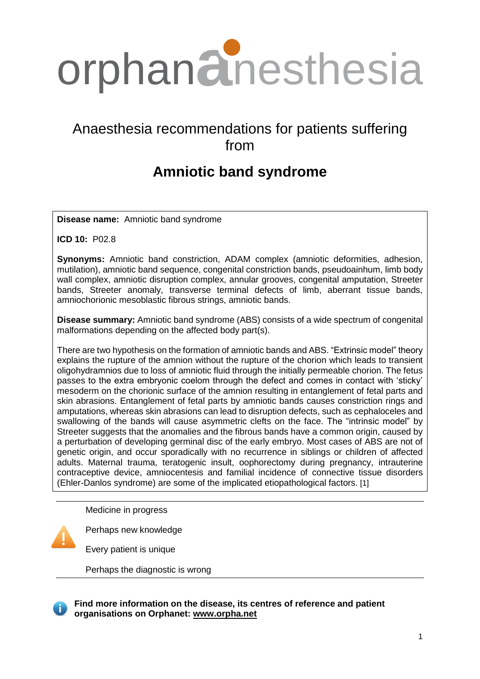

# Anaesthesia recommendations for patients suffering from

# **Amniotic band syndrome**

**Disease name:** Amniotic band syndrome

**ICD 10:** P02.8

**Synonyms:** Amniotic band constriction, ADAM complex (amniotic deformities, adhesion, mutilation), amniotic band sequence, congenital constriction bands, pseudoainhum, limb body wall complex, amniotic disruption complex, annular grooves, congenital amputation, Streeter bands, Streeter anomaly, transverse terminal defects of limb, aberrant tissue bands, amniochorionic mesoblastic fibrous strings, amniotic bands.

**Disease summary:** Amniotic band syndrome (ABS) consists of a wide spectrum of congenital malformations depending on the affected body part(s).

There are two hypothesis on the formation of amniotic bands and ABS. "Extrinsic model" theory explains the rupture of the amnion without the rupture of the chorion which leads to transient oligohydramnios due to loss of amniotic fluid through the initially permeable chorion. The fetus passes to the extra embryonic coelom through the defect and comes in contact with 'sticky' mesoderm on the chorionic surface of the amnion resulting in entanglement of fetal parts and skin abrasions. Entanglement of fetal parts by amniotic bands causes constriction rings and amputations, whereas skin abrasions can lead to disruption defects, such as cephaloceles and swallowing of the bands will cause asymmetric clefts on the face. The "intrinsic model" by Streeter suggests that the anomalies and the fibrous bands have a common origin, caused by a perturbation of developing germinal disc of the early embryo. Most cases of ABS are not of genetic origin, and occur sporadically with no recurrence in siblings or children of affected adults. Maternal trauma, teratogenic insult, oophorectomy during pregnancy, intrauterine contraceptive device, amniocentesis and familial incidence of connective tissue disorders (Ehler-Danlos syndrome) are some of the implicated etiopathological factors. [1]

Medicine in progress

Perhaps new knowledge

Every patient is unique

Perhaps the diagnostic is wrong

**Find more information on the disease, its centres of reference and patient organisations on Orphanet: [www.orpha.net](http://www.orpha.net/consor/cgi-bin/Disease_Search.php?lng=EN&data_id=65&Disease_Disease_Search_diseaseGroup=central-core&Disease_Disease_Search_diseaseType=Pat&disease%28s%29/group%20of%20diseases=Central-core-disease&title=Central-core-disease&search=Dis)**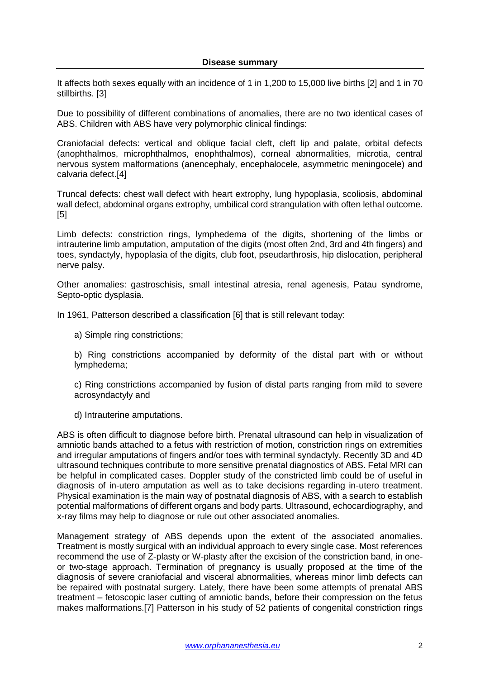It affects both sexes equally with an incidence of 1 in 1,200 to 15,000 live births [2] and 1 in 70 stillbirths. [3]

Due to possibility of different combinations of anomalies, there are no two identical cases of ABS. Children with ABS have very polymorphic clinical findings:

Craniofacial defects: vertical and oblique facial cleft, cleft lip and palate, orbital defects (anophthalmos, microphthalmos, enophthalmos), corneal abnormalities, microtia, central nervous system malformations (anencephaly, encephalocele, asymmetric meningocele) and calvaria defect.[4]

Truncal defects: chest wall defect with heart extrophy, lung hypoplasia, scoliosis, abdominal wall defect, abdominal organs extrophy, umbilical cord strangulation with often lethal outcome. [5]

Limb defects: constriction rings, lymphedema of the digits, shortening of the limbs or intrauterine limb amputation, amputation of the digits (most often 2nd, 3rd and 4th fingers) and toes, syndactyly, hypoplasia of the digits, club foot, pseudarthrosis, hip dislocation, peripheral nerve palsy.

Other anomalies: gastroschisis, small intestinal atresia, renal agenesis, Patau syndrome, Septo-optic dysplasia.

In 1961, Patterson described a classification [6] that is still relevant today:

a) Simple ring constrictions;

b) Ring constrictions accompanied by deformity of the distal part with or without lymphedema;

c) Ring constrictions accompanied by fusion of distal parts ranging from mild to severe acrosyndactyly and

d) Intrauterine amputations.

ABS is often difficult to diagnose before birth. Prenatal ultrasound can help in visualization of amniotic bands attached to a fetus with restriction of motion, constriction rings on extremities and irregular amputations of fingers and/or toes with terminal syndactyly. Recently 3D and 4D ultrasound techniques contribute to more sensitive prenatal diagnostics of ABS. Fetal MRI can be helpful in complicated cases. Doppler study of the constricted limb could be of useful in diagnosis of in-utero amputation as well as to take decisions regarding in-utero treatment. Physical examination is the main way of postnatal diagnosis of ABS, with a search to establish potential malformations of different organs and body parts. Ultrasound, echocardiography, and x-ray films may help to diagnose or rule out other associated anomalies.

Management strategy of ABS depends upon the extent of the associated anomalies. Treatment is mostly surgical with an individual approach to every single case. Most references recommend the use of Z-plasty or W-plasty after the excision of the constriction band, in oneor two-stage approach. Termination of pregnancy is usually proposed at the time of the diagnosis of severe craniofacial and visceral abnormalities, whereas minor limb defects can be repaired with postnatal surgery. Lately, there have been some attempts of prenatal ABS treatment – fetoscopic laser cutting of amniotic bands, before their compression on the fetus makes malformations.[7] Patterson in his study of 52 patients of congenital constriction rings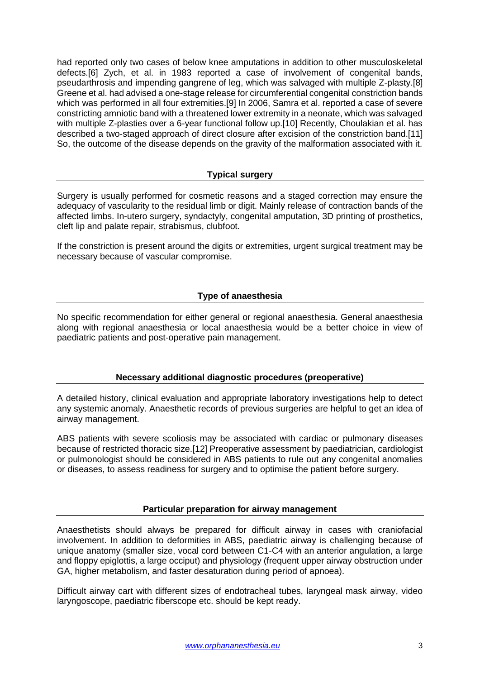had reported only two cases of below knee amputations in addition to other musculoskeletal defects.[6] Zych, et al. in 1983 reported a case of involvement of congenital bands, pseudarthrosis and impending gangrene of leg, which was salvaged with multiple Z-plasty.[8] Greene et al. had advised a one-stage release for circumferential congenital constriction bands which was performed in all four extremities.[9] In 2006, Samra et al. reported a case of severe constricting amniotic band with a threatened lower extremity in a neonate, which was salvaged with multiple Z-plasties over a 6-year functional follow up.[10] Recently, Choulakian et al. has described a two-staged approach of direct closure after excision of the constriction band.[11] So, the outcome of the disease depends on the gravity of the malformation associated with it.

## **Typical surgery**

Surgery is usually performed for cosmetic reasons and a staged correction may ensure the adequacy of vascularity to the residual limb or digit. Mainly release of contraction bands of the affected limbs. In-utero surgery, syndactyly, congenital amputation, 3D printing of prosthetics, cleft lip and palate repair, strabismus, clubfoot.

If the constriction is present around the digits or extremities, urgent surgical treatment may be necessary because of vascular compromise.

## **Type of anaesthesia**

No specific recommendation for either general or regional anaesthesia. General anaesthesia along with regional anaesthesia or local anaesthesia would be a better choice in view of paediatric patients and post-operative pain management.

## **Necessary additional diagnostic procedures (preoperative)**

A detailed history, clinical evaluation and appropriate laboratory investigations help to detect any systemic anomaly. Anaesthetic records of previous surgeries are helpful to get an idea of airway management.

ABS patients with severe scoliosis may be associated with cardiac or pulmonary diseases because of restricted thoracic size.[12] Preoperative assessment by paediatrician, cardiologist or pulmonologist should be considered in ABS patients to rule out any congenital anomalies or diseases, to assess readiness for surgery and to optimise the patient before surgery.

#### **Particular preparation for airway management**

Anaesthetists should always be prepared for difficult airway in cases with craniofacial involvement. In addition to deformities in ABS, paediatric airway is challenging because of unique anatomy (smaller size, vocal cord between C1-C4 with an anterior angulation, a large and floppy epiglottis, a large occiput) and physiology (frequent upper airway obstruction under GA, higher metabolism, and faster desaturation during period of apnoea).

Difficult airway cart with different sizes of endotracheal tubes, laryngeal mask airway, video laryngoscope, paediatric fiberscope etc. should be kept ready.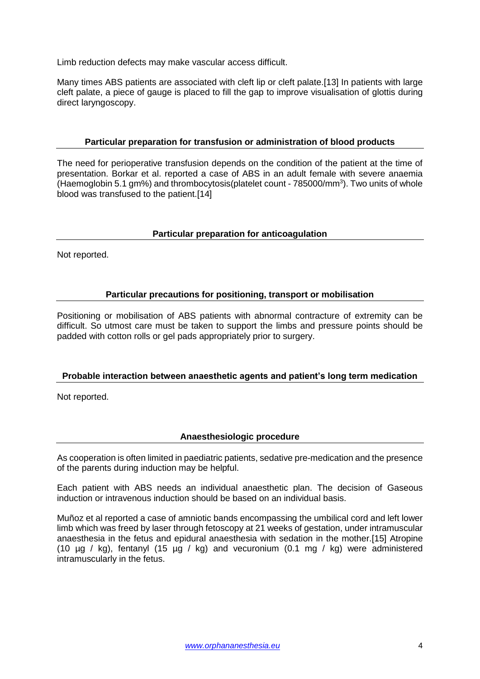Limb reduction defects may make vascular access difficult.

Many times ABS patients are associated with cleft lip or cleft palate.[13] In patients with large cleft palate, a piece of gauge is placed to fill the gap to improve visualisation of glottis during direct laryngoscopy.

## **Particular preparation for transfusion or administration of blood products**

The need for perioperative transfusion depends on the condition of the patient at the time of presentation. Borkar et al. reported a case of ABS in an adult female with severe anaemia (Haemoglobin 5.1 gm%) and thrombocytosis(platelet count - 785000/mm<sup>3</sup>). Two units of whole blood was transfused to the patient.[14]

## **Particular preparation for anticoagulation**

Not reported.

## **Particular precautions for positioning, transport or mobilisation**

Positioning or mobilisation of ABS patients with abnormal contracture of extremity can be difficult. So utmost care must be taken to support the limbs and pressure points should be padded with cotton rolls or gel pads appropriately prior to surgery.

#### **Probable interaction between anaesthetic agents and patient's long term medication**

Not reported.

## **Anaesthesiologic procedure**

As cooperation is often limited in paediatric patients, sedative pre-medication and the presence of the parents during induction may be helpful.

Each patient with ABS needs an individual anaesthetic plan. The decision of Gaseous induction or intravenous induction should be based on an individual basis.

Muñoz et al reported a case of amniotic bands encompassing the umbilical cord and left lower limb which was freed by laser through fetoscopy at 21 weeks of gestation, under intramuscular anaesthesia in the fetus and epidural anaesthesia with sedation in the mother.[15] Atropine (10 µg / kg), fentanyl (15 µg / kg) and vecuronium (0.1 mg / kg) were administered intramuscularly in the fetus.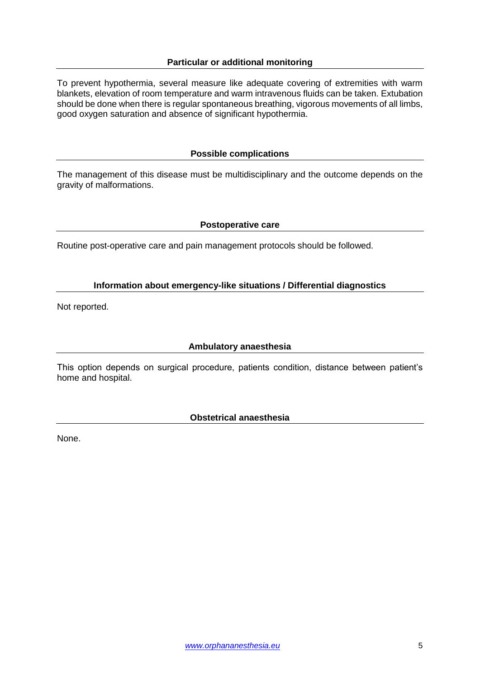## **Particular or additional monitoring**

To prevent hypothermia, several measure like adequate covering of extremities with warm blankets, elevation of room temperature and warm intravenous fluids can be taken. Extubation should be done when there is regular spontaneous breathing, vigorous movements of all limbs, good oxygen saturation and absence of significant hypothermia.

## **Possible complications**

The management of this disease must be multidisciplinary and the outcome depends on the gravity of malformations.

#### **Postoperative care**

Routine post-operative care and pain management protocols should be followed.

## **Information about emergency-like situations / Differential diagnostics**

Not reported.

#### **Ambulatory anaesthesia**

This option depends on surgical procedure, patients condition, distance between patient's home and hospital.

#### **Obstetrical anaesthesia**

None.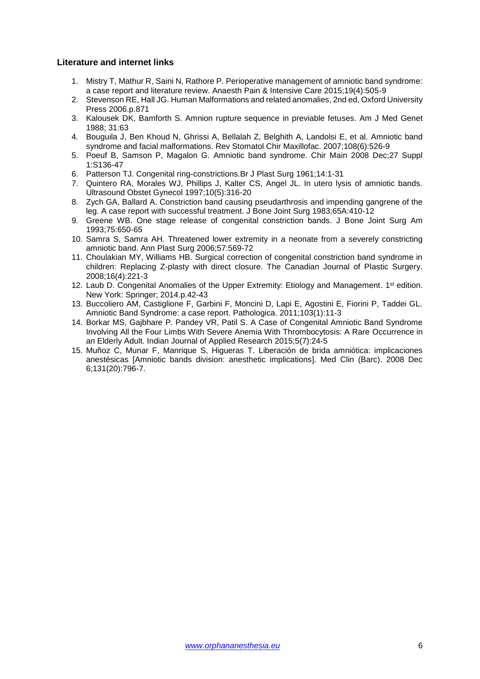## **Literature and internet links**

- 1. Mistry T, Mathur R, Saini N, Rathore P. Perioperative management of amniotic band syndrome: a case report and literature review. Anaesth Pain & Intensive Care 2015;19(4):505-9
- 2. Stevenson RE, Hall JG. Human Malformations and related anomalies, 2nd ed, Oxford University Press 2006.p.871
- 3. Kalousek DK, Bamforth S. Amnion rupture sequence in previable fetuses. Am J Med Genet 1988; 31:63
- 4. Bouguila J, Ben Khoud N, Ghrissi A, Bellalah Z, Belghith A, Landolsi E, et al. Amniotic band syndrome and facial malformations. Rev Stomatol Chir Maxillofac. 2007;108(6):526-9
- 5. Poeuf B, Samson P, Magalon G. Amniotic band syndrome. Chir Main 2008 Dec;27 Suppl 1:S136-47
- 6. Patterson TJ. Congenital ring-constrictions.Br J Plast Surg 1961;14:1-31
- 7. Quintero RA, Morales WJ, Phillips J, Kalter CS, Angel JL. In utero lysis of amniotic bands. Ultrasound Obstet Gynecol 1997;10(5):316-20
- 8. Zych GA, Ballard A. Constriction band causing pseudarthrosis and impending gangrene of the leg. A case report with successful treatment. J Bone Joint Surg 1983;65A:410-12
- 9. Greene WB. One stage release of congenital constriction bands. J Bone Joint Surg Am 1993;75:650-65
- 10. Samra S, Samra AH. Threatened lower extremity in a neonate from a severely constricting amniotic band. Ann Plast Surg 2006;57:569-72
- 11. Choulakian MY, Williams HB. Surgical correction of congenital constriction band syndrome in children: Replacing Z-plasty with direct closure. The Canadian Journal of Plastic Surgery. 2008;16(4):221-3
- 12. Laub D. Congenital Anomalies of the Upper Extremity: Etiology and Management. 1<sup>st</sup> edition. New York: Springer; 2014.p.42-43
- 13. Buccoliero AM, Castiglione F, Garbini F, Moncini D, Lapi E, Agostini E, Fiorini P, Taddei GL. Amniotic Band Syndrome: a case report. Pathologica. 2011;103(1):11-3
- 14. Borkar MS, Gajbhare P. Pandey VR, Patil S. A Case of Congenital Amniotic Band Syndrome Involving All the Four Limbs With Severe Anemia With Thrombocytosis: A Rare Occurrence in an Elderly Adult. Indian Journal of Applied Research 2015;5(7):24-5
- 15. Muñoz C, Munar F, Manrique S, Higueras T. Liberación de brida amniótica: implicaciones anestésicas [Amniotic bands division: anesthetic implications]. Med Clin (Barc). 2008 Dec 6;131(20):796-7.